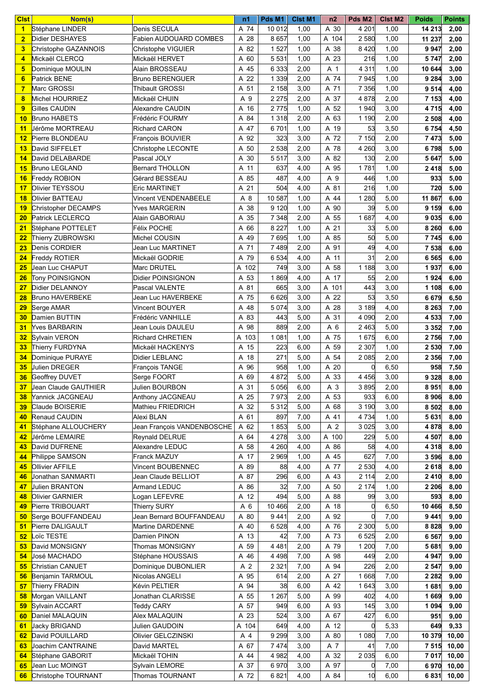| <b>Cist</b>     | Nom(s)                  |                            | n1    | Pds M1  | <b>Cist M1</b> | n2    | Pds M <sub>2</sub> | <b>CIst M2</b> | <b>Poids</b><br><b>Points</b> |
|-----------------|-------------------------|----------------------------|-------|---------|----------------|-------|--------------------|----------------|-------------------------------|
| $\mathbf{1}$    | Stéphane LINDER         | Denis SECULA               | A 74  | 10 0 12 | 1,00           | A 30  | 4 2 0 1            | 1,00           | 14 213<br>2,00                |
| $\overline{2}$  | Didier DESHAYES         | Fabien AUDOUARD COMBES     | A 28  | 8 6 5 7 | 1,00           | A 104 | 2 5 8 0            | 1,00           | 11 237<br>2,00                |
| 3               | Christophe GAZANNOIS    | Christophe VIGUIER         | A 82  | 1 5 2 7 | 1,00           | A 38  | 8 4 2 0            | 1,00           | 9 9 4 7<br>2,00               |
| 4               | Mickaël CLERCQ          | Mickaël HERVET             | A 60  | 5 5 3 1 | 1,00           | A 23  | 216                | 1,00           | 2,00<br>5747                  |
| 5               | Dominique MOULIN        | Alain BROSSEAU             | A 45  | 6 3 3 3 | 2,00           | A 1   | 4 3 1 1            | 1,00           | 10 644<br>3,00                |
| 6               | Patrick BENE            | <b>Bruno BERENGUER</b>     | A 22  | 1 3 3 9 | 2,00           | A 74  | 7945               | 1,00           | 9 2 8 4<br>3,00               |
| $\overline{7}$  | Marc GROSSI             | Thibault GROSSI            | A 51  | 2 1 5 8 | 3,00           | A 71  | 7 3 5 6            | 1,00           | 9 5 14<br>4,00                |
| 8               | Michel HOURRIEZ         | Mickaël CHUIN              | A 9   | 2 2 7 5 | 2,00           | A 37  | 4 8 7 8            | 2,00           | 7 153<br>4,00                 |
| 9               | Gilles CAUDIN           | <b>Alexandre CAUDIN</b>    | A 16  | 2 7 7 5 | 1,00           | A 52  | 1940               | 3,00           | 4,00<br>4715                  |
| 10              | <b>Bruno HABETS</b>     | Frédéric FOURMY            | A 84  | 1 3 1 8 | 2,00           | A 63  | 1 1 9 0            | 2,00           | 2 508<br>4,00                 |
| 11              | Jérôme MORTREAU         | <b>Richard CARON</b>       | A 47  | 6701    | 1,00           | A 19  | 53                 | 3,50           | 4,50<br>6754                  |
| $12 \,$         | Pierre BLONDEAU         | François BOUVIER           | A 92  | 323     | 3,00           | A 72  | 7 150              | 2,00           | 7473<br>5,00                  |
| 13              | David SIFFELET          | Christophe LECONTE         | A 50  | 2 5 3 8 | 2,00           | A 78  | 4 2 6 0            | 3,00           | 5,00<br>6798                  |
| 14              | David DELABARDE         | Pascal JOLY                | A 30  | 5 5 1 7 | 3,00           | A 82  | 130                | 2,00           | 5 647<br>5,00                 |
| 15              | <b>Bruno LEGLAND</b>    | <b>Bernard THOLLON</b>     | A 11  | 637     | 4,00           | A 95  | 1781               | 1,00           | 2 4 1 8<br>5,00               |
| 16              | Freddy ROBION           | Gérard BESSEAU             | A 85  | 487     | 4,00           | A 9   | 446                | 1,00           | 933<br>5,00                   |
| 17              | Olivier TEYSSOU         | <b>Eric MARTINET</b>       | A 21  | 504     | 4,00           | A 81  | 216                | 1,00           | 720<br>5,00                   |
|                 | Olivier BATTEAU         | Vincent VENDENABEELE       | A 8   | 10 587  | 1,00           | A 44  | 1 2 8 0            | 5,00           | 11 867                        |
| 18              |                         | <b>Yves MARGERIN</b>       |       |         |                |       |                    |                | 6,00                          |
| 19              | Christopher DECAMPS     |                            | A 38  | 9 1 2 0 | 1,00           | A 90  | 39                 | 5,00           | 9 159<br>6,00                 |
| 20              | Patrick LECLERCQ        | Alain GABORIAU             | A 35  | 7 3 4 8 | 2,00           | A 55  | 1687               | 4,00           | 9 0 3 5<br>6,00               |
| 21              | Stéphane POTTELET       | Félix POCHE                | A 66  | 8 2 2 7 | 1,00           | A 21  | 33                 | 5,00           | 8 2 6 0<br>6,00               |
| 22              | Thierry ZUBROWSKI       | Michel COUSIN              | A 49  | 7 6 9 5 | 1,00           | A 85  | 50                 | 5,00           | 6,00<br>7745                  |
| 23              | Denis CORDIER           | Jean Luc MARTINET          | A 71  | 7489    | 2,00           | A 91  | 49                 | 4,00           | 7 538<br>6,00                 |
| 24              | Freddy ROTIER           | Mickaël GODRIE             | A 79  | 6 5 3 4 | 4,00           | A 11  | 31                 | 2,00           | 6,00<br>6 5 6 5               |
| 25              | Jean Luc CHAPUT         | Marc DRUTEL                | A 102 | 749     | 3,00           | A 58  | 1 1 8 8            | 3,00           | 1937<br>6,00                  |
| 26              | Tony POINSIGNON         | Didier POINSIGNON          | A 53  | 1869    | 4,00           | A 17  | 55                 | 2,00           | 1924<br>6,00                  |
| 27              | Didier DELANNOY         | Pascal VALENTE             | A 81  | 665     | 3,00           | A 101 | 443                | 3,00           | 1 108<br>6,00                 |
| 28              | <b>Bruno HAVERBEKE</b>  | Jean Luc HAVERBEKE         | A 75  | 6 6 2 6 | 3,00           | A 22  | 53                 | 3,50           | 6 6 7 9<br>6,50               |
| 29              | Serge AMAR              | Vincent BOUYER             | A 48  | 5 0 7 4 | 3,00           | A 28  | 3 189              | 4,00           | 8 2 6 3<br>7,00               |
| 30              | Damien BUTTIN           | Frédéric VANHILLE          | A 83  | 443     | 5,00           | A 31  | 4 0 9 0            | 2,00           | 4 5 3 3<br>7,00               |
| 31              | Yves BARBARIN           | Jean Louis DAULEU          | A 98  | 889     | 2,00           | A 6   | 2 4 6 3            | 5,00           | 3 3 5 2<br>7,00               |
| 32 <sub>2</sub> | Sylvain VERON           | Richard CHRETIEN           | A 103 | 1 0 8 1 | 1,00           | A 75  | 1675               | 6,00           | 7,00<br>2756                  |
| 33              | Thierry FURDYNA         | Mickaël HACKENYS           | A 15  | 223     | 6,00           | A 59  | 2 3 0 7            | 1,00           | 2 530<br>7,00                 |
| 34              | Dominique PURAYE        | <b>Didier LEBLANC</b>      | A 18  | 271     | 5,00           | A 54  | 2 0 8 5            | 2,00           | 2 3 5 6<br>7,00               |
| 35 <sub>5</sub> | Julien DREGER           | François TANGE             | A 96  | 958     | 1,00           | A 20  | $\Omega$           | 6,50           | 958<br>7,50                   |
| 36              | Geoffrey DUVET          | Serge FOORT                | A 69  | 4 8 7 2 | 5,00           | A 33  | 4 4 5 6            | 3,00           | 9 3 28<br>8,00                |
|                 | 37 Jean Claude GAUTHIER | Julien BOURBON             | A 31  | 5 0 5 6 | 6,00           | A 3   | 3895               | 2,00           | 8 9 5 1<br>8,00               |
| 38 <sup>°</sup> | Yannick JACGNEAU        | Anthony JACGNEAU           | A 25  | 7973    | 2,00           | A 53  | 933                | 6,00           | 8 9 0 6<br>8,00               |
| 39              | Claude BOISERIE         | Mathieu FRIEDRICH          | A 32  | 5 3 1 2 | 5,00           | A 68  | 3 190              | 3,00           | 8 5 0 2<br>8,00               |
| 40              | Renaud CAUDIN           | Alexi BLAN                 | A 61  | 897     | 7,00           | A 41  | 4 7 34             | 1,00           | 5 631<br>8,00                 |
| 41              | Stéphane ALLOUCHERY     | Jean François VANDENBOSCHE | A 62  | 1853    | 5,00           | A 2   | 3 0 25             | 3,00           | 4 8 7 8<br>8,00               |
| 42              | Jérôme LEMAIRE          | Reynald DELRUE             | A 64  | 4 2 7 8 | 3,00           | A 100 | 229                | 5,00           | 4 507<br>8,00                 |
| 43              | David DUFRENE           | Alexandre LEDUC            | A 58  | 4 2 6 0 | 4,00           | A 86  | 58                 | 4,00           | 4 3 1 8<br>8,00               |
| 44              | Philippe SAMSON         | Franck MAZUY               | A 17  | 2 9 6 9 | 1,00           | A 45  | 627                | 7,00           | 3 5 9 6<br>8,00               |
| 45              | Ollivier AFFILE         | Vincent BOUBENNEC          | A 89  | 88      | 4,00           | A 77  | 2 5 3 0            | 4,00           | 2618<br>8,00                  |
| 46              | Jonathan SANMARTI       | Jean Claude BELLIOT        | A 87  | 296     | 6,00           | A 43  | 2 114              | 2,00           | 2410<br>8,00                  |
| 47              | <b>Julien BRANTON</b>   | Armand LEDUC               | A 86  | 32      | 7,00           | A 50  | 2 174              | 1,00           | 2 2 0 6<br>8,00               |
| 48              | Olivier GARNIER         | Logan LEFEVRE              | A 12  | 494     | 5,00           | A 88  | 99                 | 3,00           | 593<br>8,00                   |
| 49              | Pierre TRIBOUART        | Thierry SURY               | A 6   | 10 4 66 | 2,00           | A 18  | 0                  | 6,50           | 10 466<br>8,50                |
| 50              | Serge BOUFFANDEAU       | Jean Bernard BOUFFANDEAU   | A 80  | 9 4 4 1 | 2,00           | A 92  | $\Omega$           | 7,00           | 9 4 4 1<br>9,00               |
| 51              | Pierre DALIGAULT        | Martine DARDENNE           | A 40  | 6 5 28  | 4,00           | A 76  | 2 3 0 0            | 5,00           | 9,00<br>8828                  |
| 52 <sub>2</sub> | Loïc TESTE              | Damien PINON               | A 13  | 42      | 7,00           | A 73  | 6 5 25             | 2,00           | 6 5 67<br>9,00                |
| 53              | David MONSIGNY          | Thomas MONSIGNY            | A 59  | 4 4 8 1 | 2,00           | A 79  | 1 200              | 7,00           | 5681<br>9,00                  |
| 54              | José MACHADO            | Stéphane HOUSSAIS          | A 46  | 4 4 9 8 | 7,00           | A 98  | 449                | 2,00           | 4 9 4 7<br>9,00               |
| 55              | Christian CANUET        | Dominique DUBONLIER        | A 2   | 2 3 2 1 | 7,00           | A 94  | 226                | 2,00           | 2 5 4 7<br>9,00               |
| 56              | Benjamin TARMOUL        | Nicolas ANGELI             | A 95  | 614     | 2,00           | A 27  | 1668               | 7,00           | 2 2 8 2<br>9,00               |
| 57              | Thierry FRADIN          | Kévin PELTIER              | A 94  | 38      | 6,00           | A 42  | 1 643              | 3,00           | 1681<br>9,00                  |
| 58              | Morgan VAILLANT         | Jonathan CLARISSE          | A 55  | 1 2 6 7 | 5,00           | A 99  | 402                | 4,00           | 1669<br>9,00                  |
| 59              | Sylvain ACCART          | <b>Teddy CARY</b>          | A 57  | 949     | 6,00           | A 93  | 145                | 3,00           | 1 0 9 4<br>9,00               |
| 60              | Daniel MALAQUIN         | Alex MALAQUIN              | A 23  | 524     | 3,00           | A 67  | 427                | 6,00           | 951<br>9,00                   |
| 61              | Jacky BRIGAND           | Julien GAUDOIN             | A 104 | 649     | 4,00           | A 12  | 0                  | 5,33           | 9,33<br>649                   |
| 62 <sub>2</sub> | David POUILLARD         | Olivier GELCZINSKI         | A 4   | 9 2 9 9 | 3,00           | A 80  | 1 0 8 0            | 7,00           | 10 379<br>10,00               |
| 63.             | Joachim CANTRAINE       | David MARTEL               | A 67  | 7474    | 3,00           | A 7   | 41                 | 7,00           | 7 5 1 5<br>10,00              |
| 64              | Stéphane GABORIT        | Mickaël TOHIN              | A 44  | 4 9 8 2 | 4,00           | A 32  | 2 0 3 5            | 6,00           | 7 0 1 7<br>10,00              |
| 65              | Jean Luc MOINGT         | Sylvain LEMORE             | A 37  | 6970    | 3,00           | A 97  | 0                  | 7,00           | 6970 10,00                    |
| 66              | Christophe TOURNANT     | Thomas TOURNANT            | A 72  | 6 8 21  | 4,00           | A 84  | 10                 | 6,00           | 6 8 31<br>10,00               |